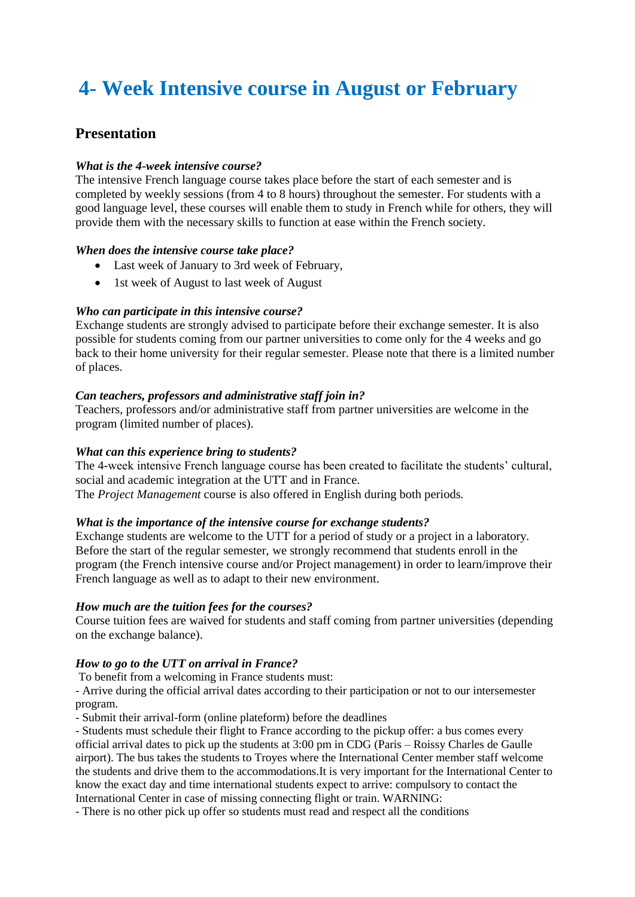# **4- Week Intensive course in August or February**

# **Presentation**

## *What is the 4-week intensive course?*

The intensive French language course takes place before the start of each semester and is completed by weekly sessions (from 4 to 8 hours) throughout the semester. For students with a good language level, these courses will enable them to study in French while for others, they will provide them with the necessary skills to function at ease within the French society.

## *When does the intensive course take place?*

- Last week of January to 3rd week of February,
- 1st week of August to last week of August

## *Who can participate in this intensive course?*

Exchange students are strongly advised to participate before their exchange semester. It is also possible for students coming from our partner universities to come only for the 4 weeks and go back to their home university for their regular semester. Please note that there is a limited number of places.

## *Can teachers, professors and administrative staff join in?*

Teachers, professors and/or administrative staff from partner universities are welcome in the program (limited number of places).

#### *What can this experience bring to students?*

The 4-week intensive French language course has been created to facilitate the students' cultural, social and academic integration at the UTT and in France. The *Project Management* course is also offered in English during both periods.

#### *What is the importance of the intensive course for exchange students?*

Exchange students are welcome to the UTT for a period of study or a project in a laboratory. Before the start of the regular semester, we strongly recommend that students enroll in the program (the French intensive course and/or Project management) in order to learn/improve their French language as well as to adapt to their new environment.

#### *How much are the tuition fees for the courses?*

Course tuition fees are waived for students and staff coming from partner universities (depending on the exchange balance).

#### *How to go to the UTT on arrival in France?*

To benefit from a welcoming in France students must:

- Arrive during the official arrival dates according to their participation or not to our intersemester program.

- Submit their arrival-form (online plateform) before the deadlines

- Students must schedule their flight to France according to the pickup offer: a bus comes every official arrival dates to pick up the students at 3:00 pm in CDG (Paris – Roissy Charles de Gaulle airport). The bus takes the students to Troyes where the International Center member staff welcome the students and drive them to the accommodations.It is very important for the International Center to know the exact day and time international students expect to arrive: compulsory to contact the International Center in case of missing connecting flight or train. WARNING:

- There is no other pick up offer so students must read and respect all the conditions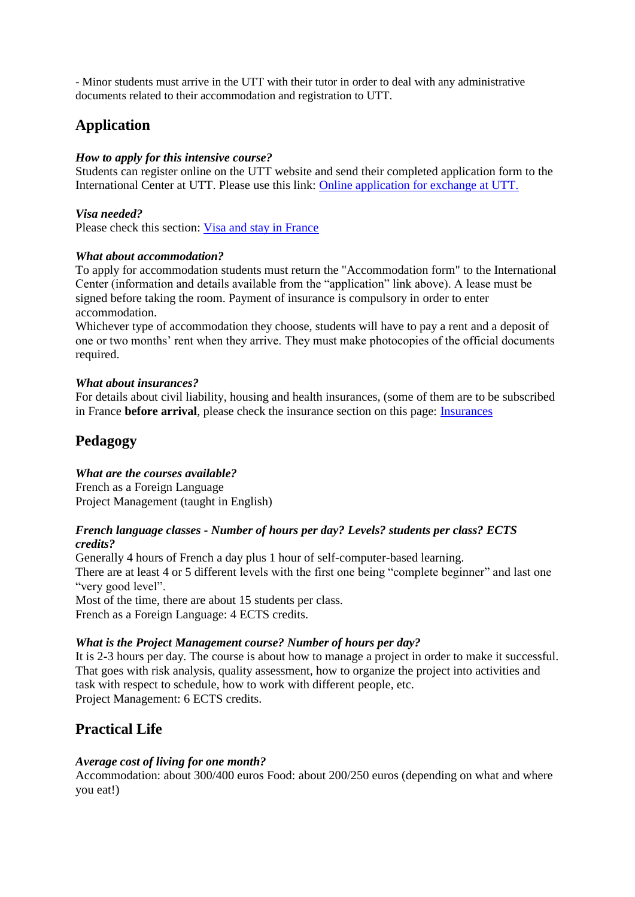- Minor students must arrive in the UTT with their tutor in order to deal with any administrative documents related to their accommodation and registration to UTT.

# **Application**

# *How to apply for this intensive course?*

Students can register online on the UTT website and send their completed application form to the International Center at UTT. Please use this link: [Online application for exchange at UTT.](https://utt.moveonfr.com/locallogin/57aafaed8b811b1348000005/eng)

# *Visa needed?*

Please check this section: [Visa and stay in France](https://utt.moveonfr.com/locallogin/57aafaed8b811b1348000005/eng)

# *What about accommodation?*

To apply for accommodation students must return the "Accommodation form" to the International Center (information and details available from the "application" link above). A lease must be signed before taking the room. Payment of insurance is compulsory in order to enter accommodation.

Whichever type of accommodation they choose, students will have to pay a rent and a deposit of one or two months' rent when they arrive. They must make photocopies of the official documents required.

# *What about insurances?*

For details about civil liability, housing and health insurances, (some of them are to be subscribed in France **before arrival**, please check the insurance section on this page: **Insurances** 

# **Pedagogy**

# *What are the courses available?*

French as a Foreign Language Project Management (taught in English)

## *French language classes - Number of hours per day? Levels? students per class? ECTS credits?*

Generally 4 hours of French a day plus 1 hour of self-computer-based learning. There are at least 4 or 5 different levels with the first one being "complete beginner" and last one "very good level".

Most of the time, there are about 15 students per class. French as a Foreign Language: 4 ECTS credits.

# *What is the Project Management course? Number of hours per day?*

It is 2-3 hours per day. The course is about how to manage a project in order to make it successful. That goes with risk analysis, quality assessment, how to organize the project into activities and task with respect to schedule, how to work with different people, etc. Project Management: 6 ECTS credits.

# **Practical Life**

# *Average cost of living for one month?*

Accommodation: about 300/400 euros Food: about 200/250 euros (depending on what and where you eat!)